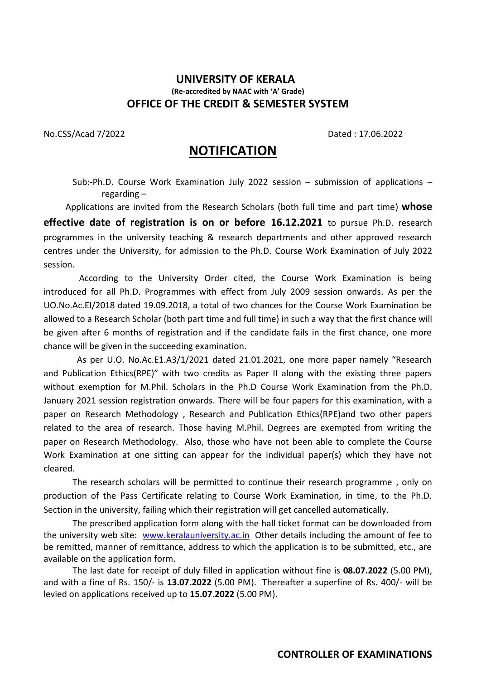## **UNIVERSITY OF KERALA (Re-accredited by NAAC with 'A' Grade) OFFICE OF THE CREDIT & SEMESTER SYSTEM**

No.CSS/Acad 7/2022 Dated : 17.06.2022

# **NOTIFICATION**

Sub:-Ph.D. Course Work Examination July 2022 session – submission of applications – regarding –

Applications are invited from the Research Scholars (both full time and part time) **whose effective date of registration is on or before 16.12.2021** to pursue Ph.D. research programmes in the university teaching & research departments and other approved research centres under the University, for admission to the Ph.D. Course Work Examination of July 2022 session.

 According to the University Order cited, the Course Work Examination is being introduced for all Ph.D. Programmes with effect from July 2009 session onwards. As per the UO.No.Ac.EI/2018 dated 19.09.2018, a total of two chances for the Course Work Examination be allowed to a Research Scholar (both part time and full time) in such a way that the first chance will be given after 6 months of registration and if the candidate fails in the first chance, one more chance will be given in the succeeding examination.

 As per U.O. No.Ac.E1.A3/1/2021 dated 21.01.2021, one more paper namely "Research and Publication Ethics(RPE)" with two credits as Paper II along with the existing three papers without exemption for M.Phil. Scholars in the Ph.D Course Work Examination from the Ph.D. January 2021 session registration onwards. There will be four papers for this examination, with a paper on Research Methodology , Research and Publication Ethics(RPE)and two other papers related to the area of research. Those having M.Phil. Degrees are exempted from writing the paper on Research Methodology. Also, those who have not been able to complete the Course Work Examination at one sitting can appear for the individual paper(s) which they have not cleared.

The research scholars will be permitted to continue their research programme , only on production of the Pass Certificate relating to Course Work Examination, in time, to the Ph.D. Section in the university, failing which their registration will get cancelled automatically.

The prescribed application form along with the hall ticket format can be downloaded from the university web site: [www.keralauniversity.ac.in](http://www.keralauniversity.ac.in/) Other details including the amount of fee to be remitted, manner of remittance, address to which the application is to be submitted, etc., are available on the application form.

The last date for receipt of duly filled in application without fine is **08.07.2022** (5.00 PM), and with a fine of Rs. 150/- is **13.07.2022** (5.00 PM). Thereafter a superfine of Rs. 400/- will be levied on applications received up to **15.07.2022** (5.00 PM).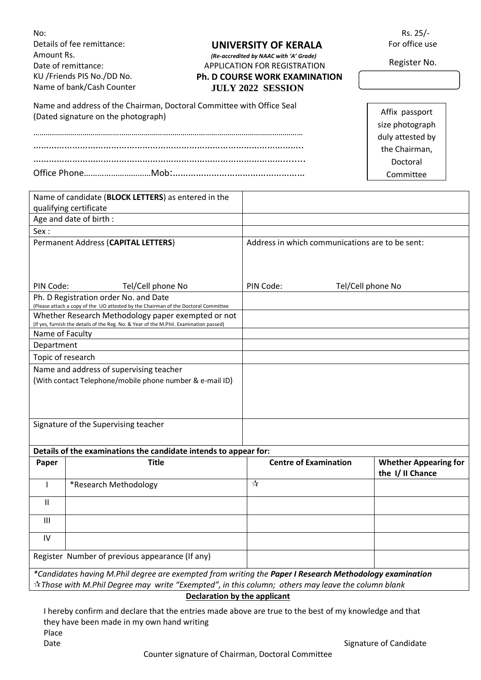| No:<br>Amount Rs.                                                             | Details of fee remittance:<br>Date of remittance:<br>KU /Friends PIS No./DD No.<br>Name of bank/Cash Counter                                                                                                                       |                                                 | UNIVERSITY OF KERALA<br>(Re-accredited by NAAC with 'A' Grade)<br><b>APPLICATION FOR REGISTRATION</b><br><b>Ph. D COURSE WORK EXAMINATION</b><br><b>JULY 2022 SESSION</b>                                                      | Rs. 25/-<br>For office use<br>Register No.                                                      |  |
|-------------------------------------------------------------------------------|------------------------------------------------------------------------------------------------------------------------------------------------------------------------------------------------------------------------------------|-------------------------------------------------|--------------------------------------------------------------------------------------------------------------------------------------------------------------------------------------------------------------------------------|-------------------------------------------------------------------------------------------------|--|
|                                                                               | Name and address of the Chairman, Doctoral Committee with Office Seal<br>(Dated signature on the photograph)                                                                                                                       |                                                 |                                                                                                                                                                                                                                | Affix passport<br>size photograph<br>duly attested by<br>the Chairman,<br>Doctoral<br>Committee |  |
| Name of candidate (BLOCK LETTERS) as entered in the<br>qualifying certificate |                                                                                                                                                                                                                                    |                                                 |                                                                                                                                                                                                                                |                                                                                                 |  |
|                                                                               | Age and date of birth :                                                                                                                                                                                                            |                                                 |                                                                                                                                                                                                                                |                                                                                                 |  |
| Sex:                                                                          |                                                                                                                                                                                                                                    |                                                 |                                                                                                                                                                                                                                |                                                                                                 |  |
| Permanent Address (CAPITAL LETTERS)                                           |                                                                                                                                                                                                                                    | Address in which communications are to be sent: |                                                                                                                                                                                                                                |                                                                                                 |  |
| PIN Code:<br>Tel/Cell phone No<br>Ph. D Registration order No. and Date       |                                                                                                                                                                                                                                    |                                                 | PIN Code:<br>Tel/Cell phone No                                                                                                                                                                                                 |                                                                                                 |  |
| Name of Faculty                                                               | (Please attach a copy of the UO attested by the Chairman of the Doctoral Committee<br>Whether Research Methodology paper exempted or not<br>(If yes, furnish the details of the Reg. No. & Year of the M.Phil. Examination passed) |                                                 |                                                                                                                                                                                                                                |                                                                                                 |  |
| Department                                                                    |                                                                                                                                                                                                                                    |                                                 |                                                                                                                                                                                                                                |                                                                                                 |  |
| Topic of research                                                             |                                                                                                                                                                                                                                    |                                                 |                                                                                                                                                                                                                                |                                                                                                 |  |
|                                                                               | Name and address of supervising teacher<br>(With contact Telephone/mobile phone number & e-mail ID)                                                                                                                                |                                                 |                                                                                                                                                                                                                                |                                                                                                 |  |
|                                                                               | Signature of the Supervising teacher                                                                                                                                                                                               |                                                 |                                                                                                                                                                                                                                |                                                                                                 |  |
|                                                                               | Details of the examinations the candidate intends to appear for:                                                                                                                                                                   |                                                 |                                                                                                                                                                                                                                |                                                                                                 |  |
| Paper                                                                         | <b>Title</b>                                                                                                                                                                                                                       |                                                 | <b>Centre of Examination</b>                                                                                                                                                                                                   | <b>Whether Appearing for</b><br>the I/II Chance                                                 |  |
| T                                                                             | *Research Methodology                                                                                                                                                                                                              |                                                 | $\frac{1}{\lambda}$                                                                                                                                                                                                            |                                                                                                 |  |
| $\mathbf{H}$                                                                  |                                                                                                                                                                                                                                    |                                                 |                                                                                                                                                                                                                                |                                                                                                 |  |
| $\mathbf{III}$                                                                |                                                                                                                                                                                                                                    |                                                 |                                                                                                                                                                                                                                |                                                                                                 |  |
| IV                                                                            |                                                                                                                                                                                                                                    |                                                 |                                                                                                                                                                                                                                |                                                                                                 |  |
|                                                                               | Register Number of previous appearance (If any)                                                                                                                                                                                    |                                                 |                                                                                                                                                                                                                                |                                                                                                 |  |
|                                                                               |                                                                                                                                                                                                                                    | <b>Declaration by the applicant</b>             | *Candidates having M.Phil degree are exempted from writing the Paper I Research Methodology examination<br>$\dot{\mathbb{X}}$ Those with M.Phil Degree may write "Exempted", in this column; others may leave the column blank |                                                                                                 |  |

I hereby confirm and declare that the entries made above are true to the best of my knowledge and that they have been made in my own hand writing Place Date **Signature of Candidate** Signature of Candidate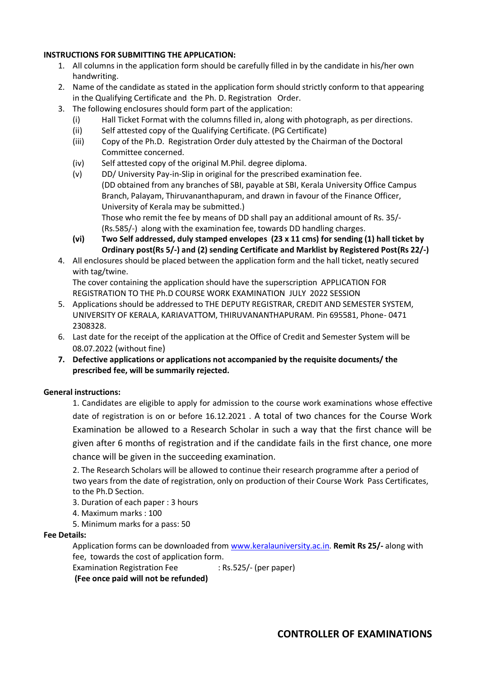### **INSTRUCTIONS FOR SUBMITTING THE APPLICATION:**

- 1. All columns in the application form should be carefully filled in by the candidate in his/her own handwriting.
- 2. Name of the candidate as stated in the application form should strictly conform to that appearing in the Qualifying Certificate and the Ph. D. Registration Order.
- 3. The following enclosures should form part of the application:
	- (i) Hall Ticket Format with the columns filled in, along with photograph, as per directions.
	- (ii) Self attested copy of the Qualifying Certificate. (PG Certificate)
	- (iii) Copy of the Ph.D. Registration Order duly attested by the Chairman of the Doctoral Committee concerned.
	- (iv) Self attested copy of the original M.Phil. degree diploma.
	- (v) DD/ University Pay-in-Slip in original for the prescribed examination fee. (DD obtained from any branches of SBI, payable at SBI, Kerala University Office Campus Branch, Palayam, Thiruvananthapuram, and drawn in favour of the Finance Officer, University of Kerala may be submitted.) Those who remit the fee by means of DD shall pay an additional amount of Rs. 35/- (Rs.585/-) along with the examination fee, towards DD handling charges.
	- **(vi) Two Self addressed, duly stamped envelopes (23 x 11 cms) for sending (1) hall ticket by Ordinary post(Rs 5/-) and (2) sending Certificate and Marklist by Registered Post(Rs 22/-)**
- 4. All enclosures should be placed between the application form and the hall ticket, neatly secured with tag/twine.

The cover containing the application should have the superscription APPLICATION FOR REGISTRATION TO THE Ph.D COURSE WORK EXAMINATION JULY 2022 SESSION

- 5. Applications should be addressed to THE DEPUTY REGISTRAR, CREDIT AND SEMESTER SYSTEM, UNIVERSITY OF KERALA, KARIAVATTOM, THIRUVANANTHAPURAM. Pin 695581, Phone- 0471 2308328.
- 6. Last date for the receipt of the application at the Office of Credit and Semester System will be 08.07.2022 (without fine)
- **7. Defective applications or applications not accompanied by the requisite documents/ the prescribed fee, will be summarily rejected.**

### **General instructions:**

1. Candidates are eligible to apply for admission to the course work examinations whose effective date of registration is on or before 16.12.2021 . A total of two chances for the Course Work Examination be allowed to a Research Scholar in such a way that the first chance will be given after 6 months of registration and if the candidate fails in the first chance, one more chance will be given in the succeeding examination.

2. The Research Scholars will be allowed to continue their research programme after a period of two years from the date of registration, only on production of their Course Work Pass Certificates, to the Ph.D Section.

- 3. Duration of each paper : 3 hours
- 4. Maximum marks : 100
- 5. Minimum marks for a pass: 50

#### **Fee Details:**

Application forms can be downloaded from [www.keralauniversity.ac.in.](http://www.keralauniversity.ac.in/) **Remit Rs 25/-** along with fee, towards the cost of application form.

Examination Registration Fee : Rs.525/- (per paper)

**(Fee once paid will not be refunded)**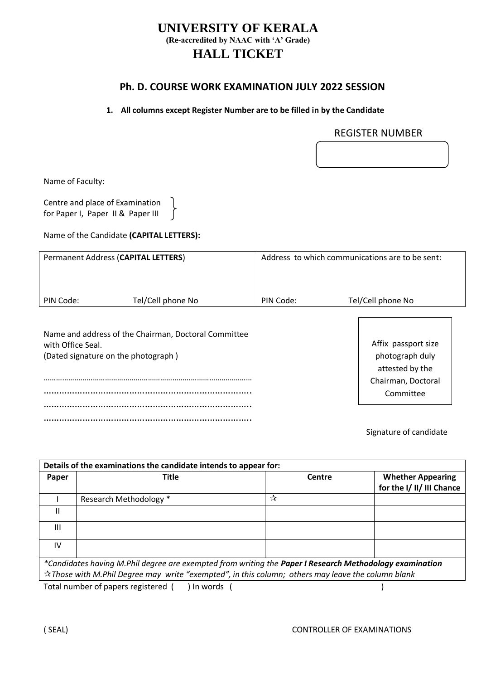## **UNIVERSITY OF KERALA (Re-accredited by NAAC with 'A' Grade) HALL TICKET**

### **Ph. D. COURSE WORK EXAMINATION JULY 2022 SESSION**

### **1. All columns except Register Number are to be filled in by the Candidate**

### REGISTER NUMBER

Name of Faculty:

Centre and place of Examination for Paper I, Paper II & Paper III

Name of the Candidate **(CAPITAL LETTERS):**

 $\left\{ \right.$ 

| Permanent Address (CAPITAL LETTERS) |                                                                                             |           | Address to which communications are to be sent:           |  |
|-------------------------------------|---------------------------------------------------------------------------------------------|-----------|-----------------------------------------------------------|--|
|                                     |                                                                                             |           |                                                           |  |
| PIN Code:                           | Tel/Cell phone No                                                                           | PIN Code: | Tel/Cell phone No                                         |  |
| with Office Seal.                   | Name and address of the Chairman, Doctoral Committee<br>(Dated signature on the photograph) |           | Affix passport size<br>photograph duly<br>attested by the |  |
|                                     |                                                                                             |           | Chairman, Doctoral                                        |  |
|                                     |                                                                                             |           | Committee                                                 |  |
|                                     |                                                                                             |           |                                                           |  |
|                                     |                                                                                             |           |                                                           |  |

Signature of candidate

| Details of the examinations the candidate intends to appear for:                                                                                                                                                                |                        |        |                                                       |  |  |  |  |
|---------------------------------------------------------------------------------------------------------------------------------------------------------------------------------------------------------------------------------|------------------------|--------|-------------------------------------------------------|--|--|--|--|
| Paper                                                                                                                                                                                                                           | Title                  | Centre | <b>Whether Appearing</b><br>for the I/ II/ III Chance |  |  |  |  |
|                                                                                                                                                                                                                                 | Research Methodology * | ☆      |                                                       |  |  |  |  |
| Ш                                                                                                                                                                                                                               |                        |        |                                                       |  |  |  |  |
| Ш                                                                                                                                                                                                                               |                        |        |                                                       |  |  |  |  |
| IV                                                                                                                                                                                                                              |                        |        |                                                       |  |  |  |  |
| *Candidates having M.Phil degree are exempted from writing the Paper I Research Methodology examination<br>$\dot{\mathcal{R}}$ Those with M.Phil Degree may write "exempted", in this column; others may leave the column blank |                        |        |                                                       |  |  |  |  |
|                                                                                                                                                                                                                                 |                        |        |                                                       |  |  |  |  |

Total number of papers registered ( ) In words ( )